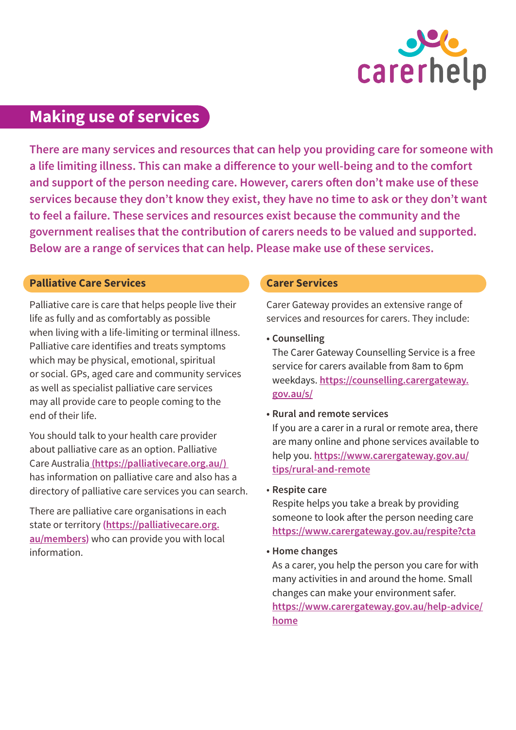

# **Making use of services**

**There are many services and resources that can help you providing care for someone with a life limiting illness. This can make a difference to your well-being and to the comfort and support of the person needing care. However, carers often don't make use of these services because they don't know they exist, they have no time to ask or they don't want to feel a failure. These services and resources exist because the community and the government realises that the contribution of carers needs to be valued and supported. Below are a range of services that can help. Please make use of these services.** 

# **Palliative Care Services**

Palliative care is care that helps people live their life as fully and as comfortably as possible when living with a life-limiting or terminal illness. Palliative care identifies and treats symptoms which may be physical, emotional, spiritual or social. GPs, aged care and community services as well as specialist palliative care services may all provide care to people coming to the end of their life.

You should talk to your health care provider about palliative care as an option. Palliative Care Australia **([https://palliativecare.org.au/\)](https://palliativecare.org.au/)**  has information on palliative care and also has a directory of palliative care services you can search.

There are palliative care organisations in each state or territory **[\(https://palliativecare.org.](https://palliativecare.org.au/members) [au/members\)](https://palliativecare.org.au/members)** who can provide you with local information.

## **Carer Services**

Carer Gateway provides an extensive range of services and resources for carers. They include:

**• Counselling**

The Carer Gateway Counselling Service is a free service for carers available from 8am to 6pm weekdays. **[https://counselling.carergateway.](https://counselling.carergateway.gov.au/s/) [gov.au/s/](https://counselling.carergateway.gov.au/s/)**

**• Rural and remote services**

If you are a carer in a rural or remote area, there are many online and phone services available to help you. **[https://www.carergateway.gov.au/](https://www.carergateway.gov.au/tips/rural-and-remote) [tips/rural-and-remote](https://www.carergateway.gov.au/tips/rural-and-remote)**

• **Respite care** 

Respite helps you take a break by providing someone to look after the person needing care **<https://www.carergateway.gov.au/respite?cta>**

**• Home changes**

As a carer, you help the person you care for with many activities in and around the home. Small changes can make your environment safer. **[https://www.carergateway.gov.au/help-advice/](https://www.carergateway.gov.au/help-advice/home) [home](https://www.carergateway.gov.au/help-advice/home)**